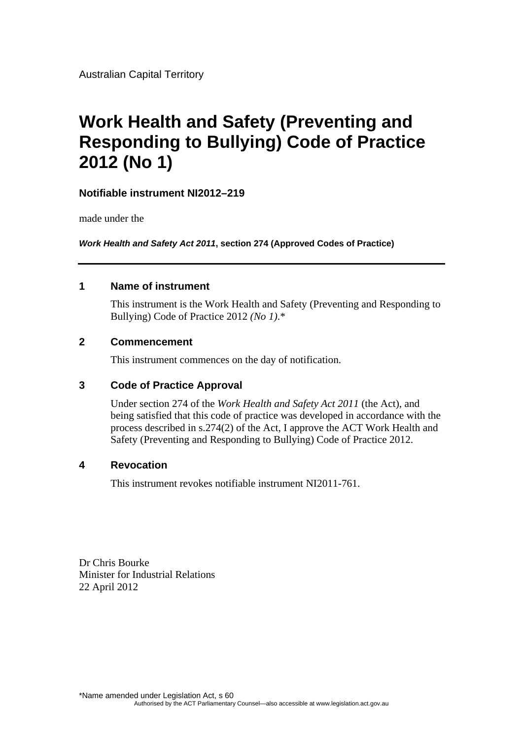Australian Capital Territory

# **Work Health and Safety (Preventing and Responding to Bullying) Code of Practice 2012 (No 1)**

#### **Notifiable instrument NI2012–219**

made under the

*Work Health and Safety Act 2011***, section 274 (Approved Codes of Practice)**

#### **1 Name of instrument**

This instrument is the Work Health and Safety (Preventing and Responding to Bullying) Code of Practice 2012 *(No 1)*.\*

#### **2 Commencement**

This instrument commences on the day of notification.

#### **3 Code of Practice Approval**

Under section 274 of the *Work Health and Safety Act 2011* (the Act), and being satisfied that this code of practice was developed in accordance with the process described in s.274(2) of the Act, I approve the ACT Work Health and Safety (Preventing and Responding to Bullying) Code of Practice 2012.

#### **4 Revocation**

This instrument revokes notifiable instrument NI2011-761.

Dr Chris Bourke Minister for Industrial Relations 22 April 2012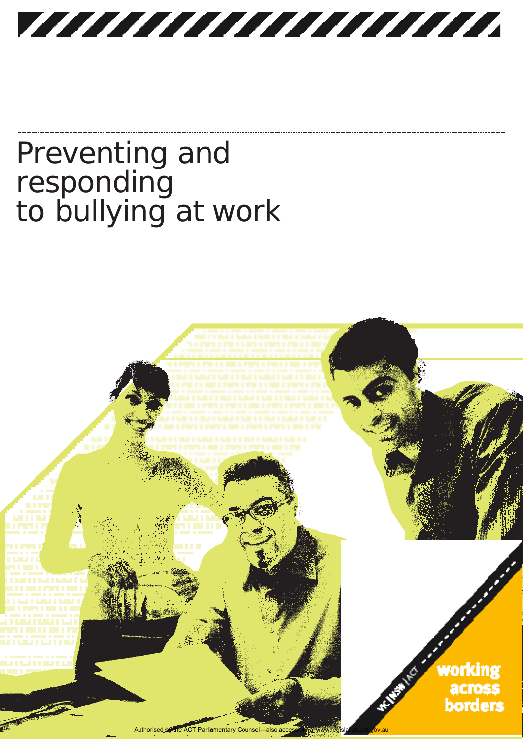VIIIIIIIIIIIIIIIII

# Preventing and responding to bullying at work

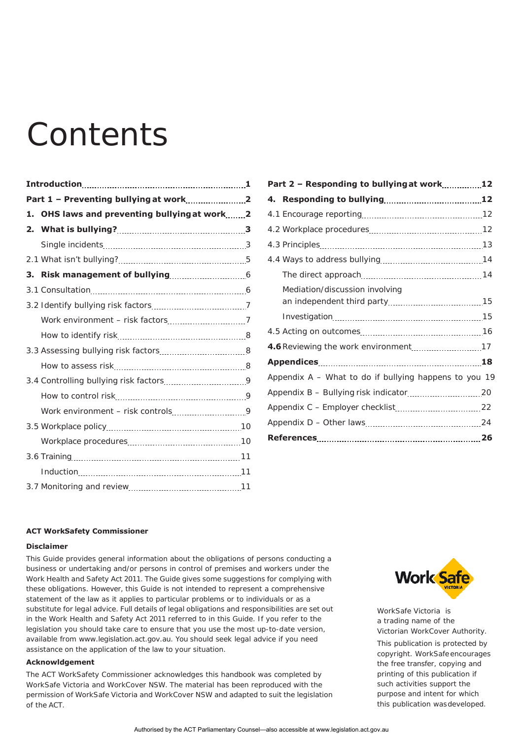# **Contents**

| 1. | OHS laws and preventing bullying at work2 |  |
|----|-------------------------------------------|--|
|    |                                           |  |
|    |                                           |  |
|    |                                           |  |
|    |                                           |  |
|    |                                           |  |
|    |                                           |  |
|    |                                           |  |
|    |                                           |  |
|    |                                           |  |
|    |                                           |  |
|    |                                           |  |
|    |                                           |  |
|    |                                           |  |
|    |                                           |  |
|    |                                           |  |
|    |                                           |  |
|    |                                           |  |
|    |                                           |  |

| Part 2 - Responding to bullying at work12             |  |
|-------------------------------------------------------|--|
|                                                       |  |
|                                                       |  |
|                                                       |  |
|                                                       |  |
|                                                       |  |
|                                                       |  |
| Mediation/discussion involving                        |  |
|                                                       |  |
|                                                       |  |
|                                                       |  |
|                                                       |  |
|                                                       |  |
| Appendix A - What to do if bullying happens to you 19 |  |
|                                                       |  |
|                                                       |  |
|                                                       |  |
|                                                       |  |

#### **ACT WorkSafety Commissioner**

#### **Disclaimer**

This Guide provides general information about the obligations of persons conducting a business or undertaking and/or persons in control of premises and workers under the *Work Health and Safety Act 2011*. The Guide gives some suggestions for complying with these obligations. However, this Guide is not intended to represent a comprehensive statement of the law as it applies to particular problems or to individuals or as a substitute for legal advice. Full details of legal obligations and responsibilities are set out in the *Work Health and Safety Act 2011* referred to in this Guide. If you refer to the legislation you should take care to ensure that you use the most up-to-date version, available fro[m www.legislation.act.gov.au. Y](http://www.legislation.act.gov.au/)ou should seek legal advice if you need assistance on the application of the law to your situation.

#### **Acknowldgement**

The ACT WorkSafety Commissioner acknowledges this handbook was completed by WorkSafe Victoria and WorkCover NSW. The material has been reproduced with the permission of WorkSafe Victoria and WorkCover NSW and adapted to suit the legislation of the ACT.



WorkSafe Victoria is a trading name of the Victorian WorkCover Authority. This publication is protected by copyright. WorkSafeencourages

the free transfer, copying and printing of this publication if such activities support the purpose and intent for which this publication wasdeveloped.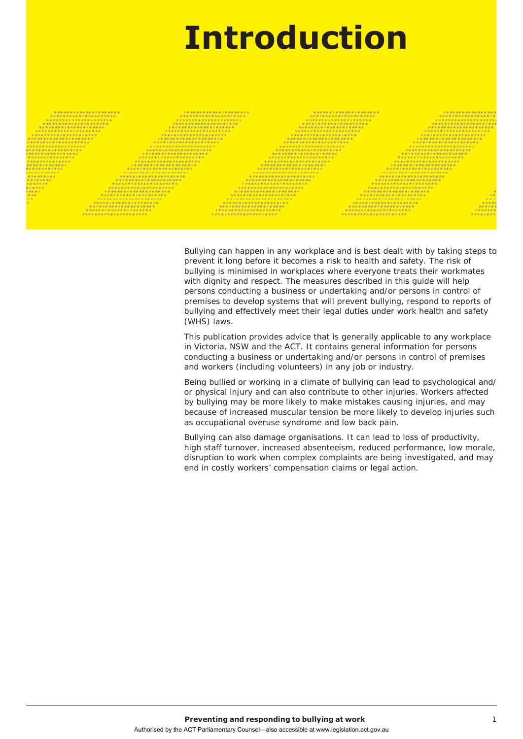# **Introduction**

Bullying can happen in any workplace and is best dealt with by taking steps to prevent it long before it becomes a risk to health and safety. The risk of bullying is minimised in workplaces where everyone treats their workmates with dignity and respect. The measures described in this guide will help persons conducting a business or undertaking and/or persons in control of premises to develop systems that will prevent bullying, respond to reports of bullying and effectively meet their legal duties under work health and safety (WHS) laws.

This publication provides advice that is generally applicable to any workplace in Victoria, NSW and the ACT. It contains general information for persons conducting a business or undertaking and/or persons in control of premises and workers (including volunteers) in any job or industry.

Being bullied or working in a climate of bullying can lead to psychological and/ or physical injury and can also contribute to other injuries. Workers affected by bullying may be more likely to make mistakes causing injuries, and may because of increased muscular tension be more likely to develop injuries such as occupational overuse syndrome and low back pain.

Bullying can also damage organisations. It can lead to loss of productivity, high staff turnover, increased absenteeism, reduced performance, low morale, disruption to work when complex complaints are being investigated, and may end in costly workers' compensation claims or legal action.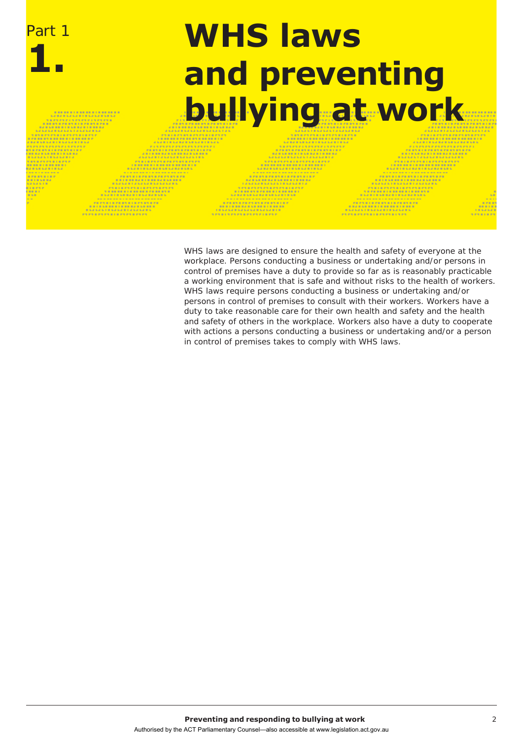

WHS laws are designed to ensure the health and safety of everyone at the workplace. Persons conducting a business or undertaking and/or persons in control of premises have a duty to provide so far as is reasonably practicable a working environment that is safe and without risks to the health of workers. WHS laws require persons conducting a business or undertaking and/or persons in control of premises to consult with their workers. Workers have a duty to take reasonable care for their own health and safety and the health and safety of others in the workplace. Workers also have a duty to cooperate with actions a persons conducting a business or undertaking and/or a person in control of premises takes to comply with WHS laws.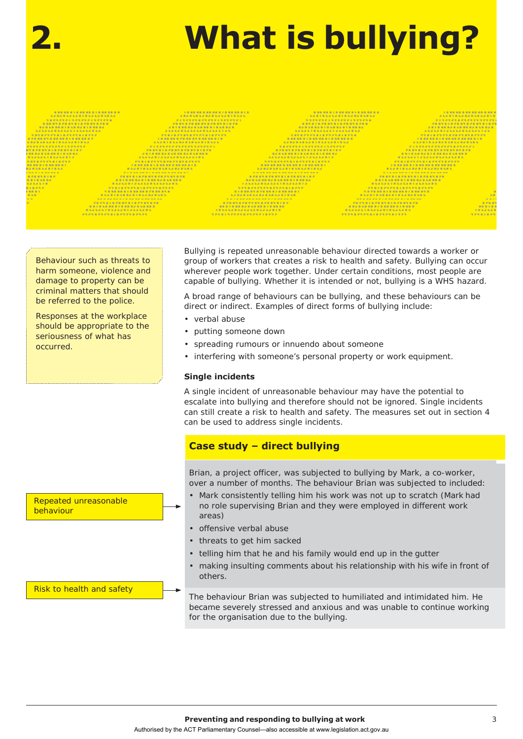# **2. What is bullying?**

Behaviour such as threats to harm someone, violence and damage to property can be criminal matters that should be referred to the police.

Responses at the workplace should be appropriate to the seriousness of what has occurred.

Bullying is repeated unreasonable behaviour directed towards a worker or group of workers that creates a risk to health and safety. Bullying can occur wherever people work together. Under certain conditions, most people are capable of bullying. Whether it is intended or not, bullying is a WHS hazard.

A broad range of behaviours can be bullying, and these behaviours can be direct or indirect. Examples of direct forms of bullying include:

- verbal abuse
- putting someone down
- spreading rumours or innuendo about someone
- interfering with someone's personal property or work equipment.

#### **Single incidents**

A single incident of unreasonable behaviour may have the potential to escalate into bullying and therefore should not be ignored. Single incidents can still create a risk to health and safety. The measures set out in section 4 can be used to address single incidents.

#### **Case study – direct bullying**

Brian, a project officer, was subjected to bullying by Mark, a co-worker, over a number of months. The behaviour Brian was subjected to included:

- Mark consistently telling him his work was not up to scratch (Mark had no role supervising Brian and they were employed in different work areas)
- offensive verbal abuse
- threats to get him sacked
- telling him that he and his family would end up in the gutter
- making insulting comments about his relationship with his wife in front of others.

Risk to health and safety

Repeated unreasonable

behaviour

The behaviour Brian was subjected to humiliated and intimidated him. He became severely stressed and anxious and was unable to continue working for the organisation due to the bullying.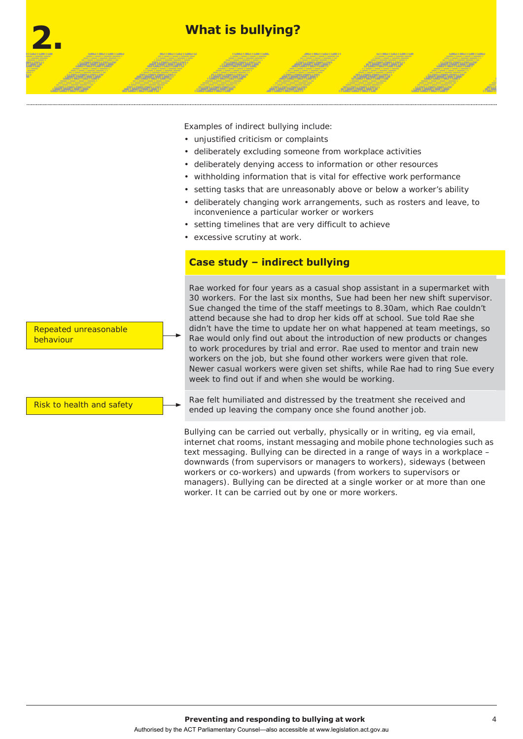

Examples of indirect bullying include:

- unjustified criticism or complaints
- deliberately excluding someone from workplace activities
- deliberately denying access to information or other resources
- withholding information that is vital for effective work performance
- setting tasks that are unreasonably above or below a worker's ability
- deliberately changing work arrangements, such as rosters and leave, to inconvenience a particular worker or workers
- setting timelines that are very difficult to achieve
- excessive scrutiny at work.

#### **Case study – indirect bullying**

Rae worked for four years as a casual shop assistant in a supermarket with 30 workers. For the last six months, Sue had been her new shift supervisor. Sue changed the time of the staff meetings to 8.30am, which Rae couldn't attend because she had to drop her kids off at school. Sue told Rae she didn't have the time to update her on what happened at team meetings, so Rae would only find out about the introduction of new products or changes to work procedures by trial and error. Rae used to mentor and train new workers on the job, but she found other workers were given that role. Newer casual workers were given set shifts, while Rae had to ring Sue every week to find out if and when she would be working.

Rae felt humiliated and distressed by the treatment she received and ended up leaving the company once she found another job.

Bullying can be carried out verbally, physically or in writing, eg via email, internet chat rooms, instant messaging and mobile phone technologies such as text messaging. Bullying can be directed in a range of ways in a workplace – downwards (from supervisors or managers to workers), sideways (between workers or co-workers) and upwards (from workers to supervisors or managers). Bullying can be directed at a single worker or at more than one worker. It can be carried out by one or more workers.

Repeated unreasonable behaviour

Risk to health and safety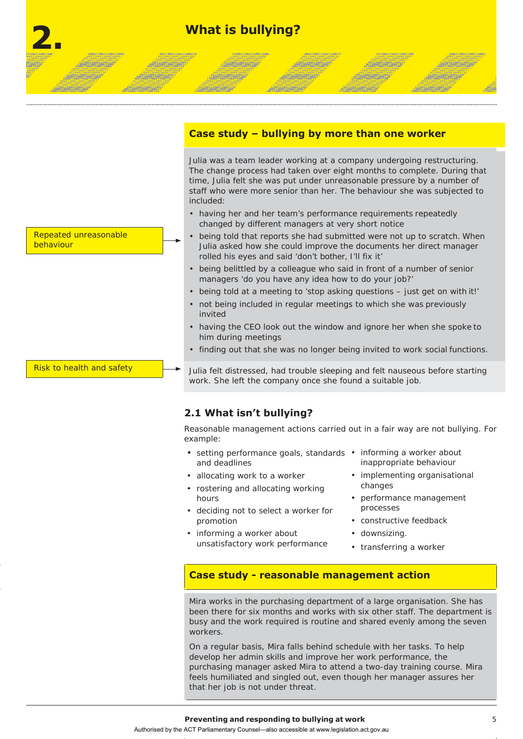## **2. What is bullying?**

**JAMAS MONEY** 

*<b>CHREMATOMTAF* 

#### **Case study – bullying by more than one worker**

**ARTMEDIATION** 

**MOANTEANTOART** 

Julia was a team leader working at a company undergoing restructuring. The change process had taken over eight months to complete. During that time, Julia felt she was put under unreasonable pressure by a number of staff who were more senior than her. The behaviour she was subjected to included:

**ATHRONOMIA** 

**JARISARUATUA** 

- having her and her team's performance requirements repeatedly changed by different managers at very short notice
- being told that reports she had submitted were not up to scratch. When Julia asked how she could improve the documents her direct manager rolled his eyes and said 'don't bother, I'll fix it'
- being belittled by a colleague who said in front of a number of senior managers 'do you have any idea how to do your job?'
- being told at a meeting to 'stop asking questions just get on with it!'
- not being included in regular meetings to which she was previously invited
- having the CEO look out the window and ignore her when she spoke to him during meetings
- finding out that she was no longer being invited to work social functions.

Julia felt distressed, had trouble sleeping and felt nauseous before starting work. She left the company once she found a suitable job.

#### **2.1 What isn't bullying?**

Reasonable management actions carried out in a fair way are not bullying. For example:

- setting performance goals, standards informing a worker about and deadlines
- allocating work to a worker
- rostering and allocating working hours
- deciding not to select a worker for promotion
- informing a worker about unsatisfactory work performance
- inappropriate behaviour
- implementing organisational changes
- performance management processes
- constructive feedback
- downsizing.
- transferring a worker

#### **Case study - reasonable management action**

Mira works in the purchasing department of a large organisation. She has been there for six months and works with six other staff. The department is busy and the work required is routine and shared evenly among the seven workers.

On a regular basis, Mira falls behind schedule with her tasks. To help develop her admin skills and improve her work performance, the purchasing manager asked Mira to attend a two-day training course. Mira feels humiliated and singled out, even though her manager assures her that her job is not under threat.

Repeated unreasonable behaviour

**JANONE AREA** 

**JURISHIRANE** 

**TANTARTAS** 

*<u>ATMONTONY</u>* 

**ATLANTARY MATE** 

Risk to health and safety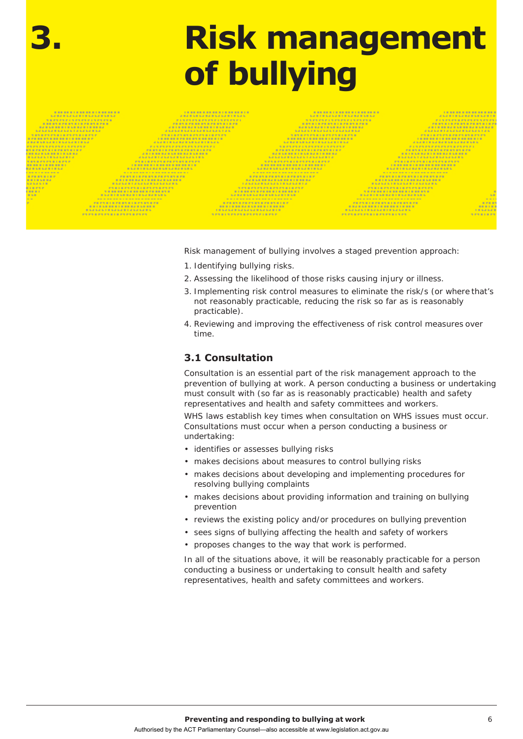# **3. Risk management of bullying**

Risk management of bullying involves a staged prevention approach:

- 1. Identifying bullying risks.
- 2. Assessing the likelihood of those risks causing injury or illness.
- 3. Implementing risk control measures to eliminate the risk/s (or where that's not reasonably practicable, reducing the risk so far as is reasonably practicable).
- 4. Reviewing and improving the effectiveness of risk control measures over time.

#### **3.1 Consultation**

Consultation is an essential part of the risk management approach to the prevention of bullying at work. A person conducting a business or undertaking must consult with (so far as is reasonably practicable) health and safety representatives and health and safety committees and workers.

WHS laws establish key times when consultation on WHS issues must occur. Consultations must occur when a person conducting a business or undertaking:

- identifies or assesses bullying risks
- makes decisions about measures to control bullying risks
- makes decisions about developing and implementing procedures for resolving bullying complaints
- makes decisions about providing information and training on bullying prevention
- reviews the existing policy and/or procedures on bullying prevention
- sees signs of bullying affecting the health and safety of workers
- proposes changes to the way that work is performed.

In all of the situations above, it will be reasonably practicable for a person conducting a business or undertaking to consult health and safety representatives, health and safety committees and workers.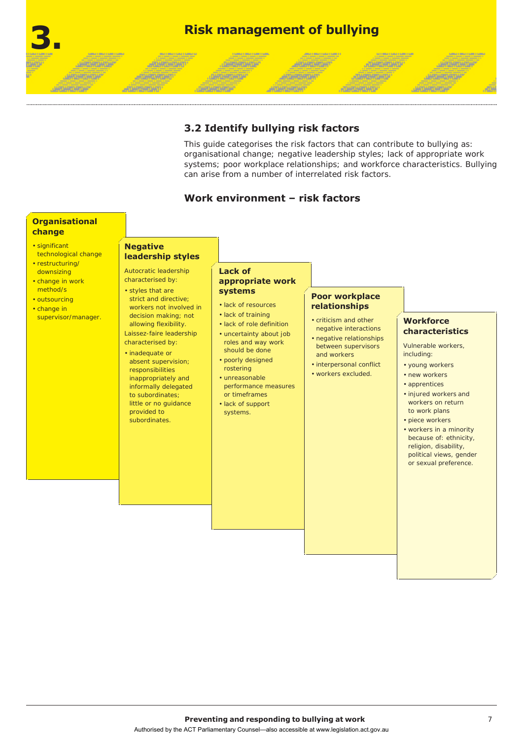## **3. Risk management of bullying**

**ARTHORNEY** 

**ATMOSPHERE** 

**AFTARTARTIART** 

#### **3.2 Identify bullying risk factors**

**JARAHOMOP** 

*<b><i><u>OHTMATHTIP*</u>

تتقيمة

This guide categorises the risk factors that can contribute to bullying as: organisational change; negative leadership styles; lack of appropriate work systems; poor workplace relationships; and workforce characteristics. Bullying can arise from a number of interrelated risk factors.

**JOHNNOHO** 

**ATHRATHD** 

ining ang

#### **Work environment – risk factors**

#### **Organisational change**

**JAROKOWOW** 

**JAROKATAKOA** 

ARTISTER THE

- significant technological change
- restructuring/ downsizing
- change in work method/s
- outsourcing
- change in supervisor/manager.

# **Negative**

*<b>ARTISTORY* 

**ATHRONOMY** 

**LEFELSTY LIST** 

#### **leadership styles** Autocratic leadership

#### characterised by: • styles that are strict and directive; workers not involved in

decision making; not allowing flexibility. Laissez-faire leadership characterised by: • inadequate or absent supervision; responsibilities inappropriately and informally delegated to subordinates; little or no guidance provided to subordinates.

• lack of training

**Lack of** 

**systems** • lack of resources

• lack of role definition

**appropriate work** 

- uncertainty about job roles and way work should be done
- poorly designed rostering
- unreasonable performance measures or timeframes
- lack of support systems.

#### **Poor workplace relationships**

- criticism and other negative interactions
- negative relationships between supervisors and workers
- interpersonal conflict
- workers excluded.

#### **Workforce characteristics**

**JARGADHOAF** 

**JAROMOROW** 

<u>Waliofa</u>

Vulnerable workers, including:

- young workers
- new workers
- apprentices
- injured workers and workers on return to work plans
- piece workers
- workers in a minority because of: ethnicity, religion, disability, political views, gender or sexual preference.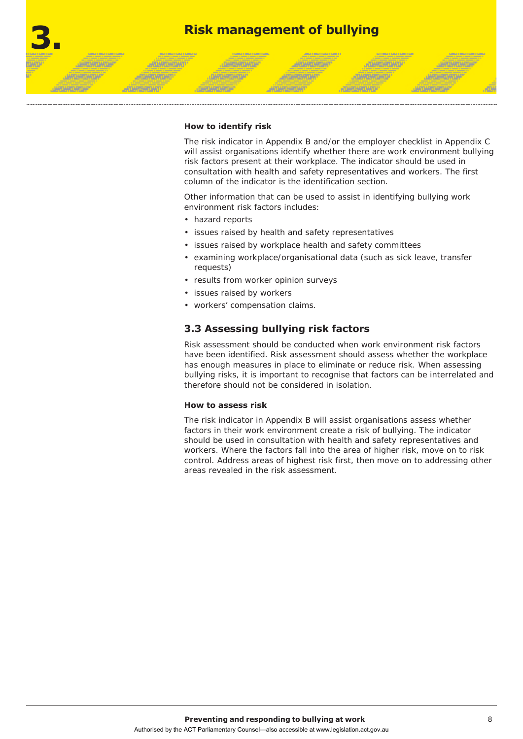

#### **How to identify risk**

The risk indicator in Appendix B and/or the employer checklist in Appendix C will assist organisations identify whether there are work environment bullying risk factors present at their workplace. The indicator should be used in consultation with health and safety representatives and workers. The first column of the indicator is the identification section.

Other information that can be used to assist in identifying bullying work environment risk factors includes:

- hazard reports
- issues raised by health and safety representatives
- issues raised by workplace health and safety committees
- examining workplace/organisational data (such as sick leave, transfer requests)
- results from worker opinion surveys
- issues raised by workers
- workers' compensation claims.

#### **3.3 Assessing bullying risk factors**

Risk assessment should be conducted when work environment risk factors have been identified. Risk assessment should assess whether the workplace has enough measures in place to eliminate or reduce risk. When assessing bullying risks, it is important to recognise that factors can be interrelated and therefore should not be considered in isolation.

#### **How to assess risk**

The risk indicator in Appendix B will assist organisations assess whether factors in their work environment create a risk of bullying. The indicator should be used in consultation with health and safety representatives and workers. Where the factors fall into the area of higher risk, move on to risk control. Address areas of highest risk first, then move on to addressing other areas revealed in the risk assessment.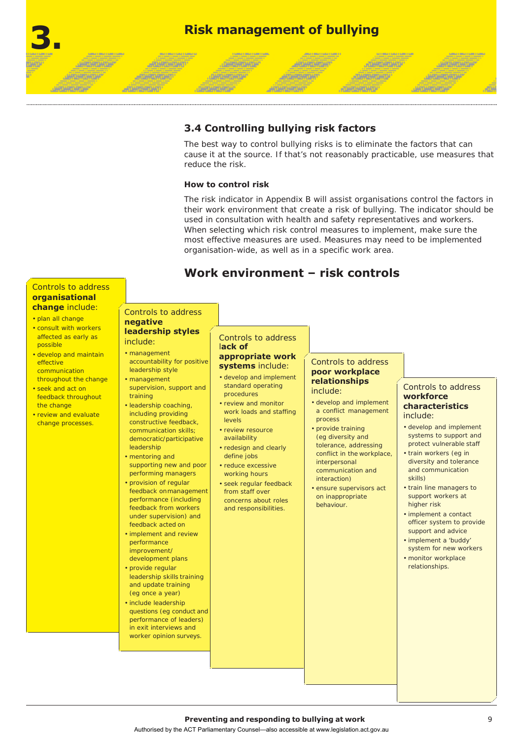

**ARTAMORTAN** 

**ATMOSPHERE** 

**HOMESTONY** 

#### **3.4 Controlling bullying risk factors**

The best way to control bullying risks is to eliminate the factors that can cause it at the source. If that's not reasonably practicable, use measures that reduce the risk.

**ATHRONOMIA** 

**ATHRONOMYST** 

ining ang

#### **How to control risk**

**JURISHAND** 

**JERNARDY** 

<u> Manazir</u>

The risk indicator in Appendix B will assist organisations control the factors in their work environment that create a risk of bullying. The indicator should be used in consultation with health and safety representatives and workers. When selecting which risk control measures to implement, make sure the most effective measures are used. Measures may need to be implemented organisation-wide, as well as in a specific work area.

### **Work environment – risk controls**

#### Controls to address **organisational change** include:

**JAROKOWOW** 

**JURDHIDHOHT** 

**ARTHOROUGH** 

#### • plan all change

- consult with workers possible
- develop and maintain effective communication throughout the change
- seek and act on feedback throughout the change
- review and evaluate change processes.

#### Controls to address **negative leadership styles**<br>affected as early as

*<b>ARTISTORY* 

*<u>ATTANTARTINI</u>* 

*<u>ATHRESTONY</u>* 

#### include: • management

- accountability for positive leadership style
- management supervision, support and training
- leadership coaching, including providing constructive feedback, communication skills; democratic/participative leadership
- mentoring and supporting new and poor performing managers
- provision of regular feedback onmanagement performance (including feedback from workers under supervision) and feedback acted on
- implement and review performance improvement/ development plans
- provide regular leadership skills training and update training (eg once a year)
- include leadership questions (eg conduct and performance of leaders) in exit interviews and worker opinion surveys.

#### Controls to address

#### l**ack of appropriate work systems** include:

- develop and implement standard operating procedures
- review and monitor work loads and staffing levels
- review resource availability
- redesign and clearly define jobs
- reduce excessive working hours
- seek regular feedback from staff over concerns about roles and responsibilities.

#### Controls to address **poor workplace relationships**  include:

- develop and implement a conflict management process
- provide training (eg diversity and tolerance, addressing conflict in the workplace, interpersonal communication and interaction)
- ensure supervisors act on inappropriate behaviour.

#### Controls to address **workforce characteristics**  include:

**JURISHISHOW** 

**JARO WALNER** 

**TARTAGE AREA** 

- develop and implement systems to support and protect vulnerable staff
- train workers (eg in diversity and tolerance and communication skills)
- train line managers to support workers at higher risk
- implement a contact officer system to provide support and advice
- implement a 'buddy' system for new workers
- monitor workplace relationships.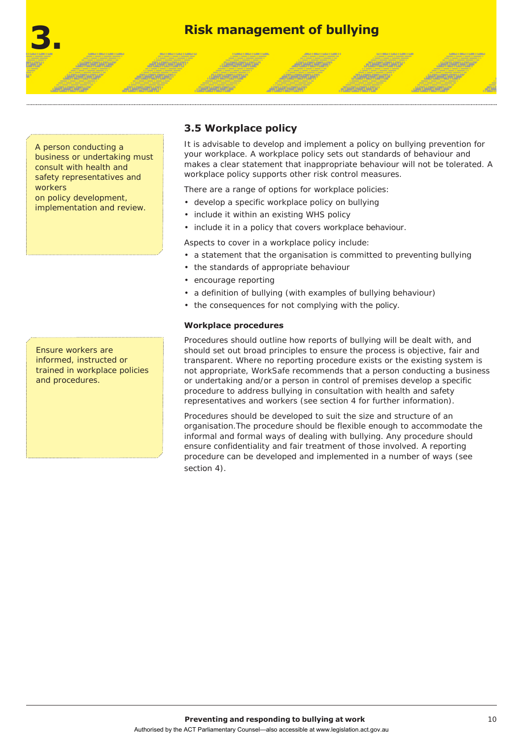

**ARTHUR THY** 

**ARTAMERATUAT** 

A person conducting a business or undertaking must consult with health and safety representatives and workers on policy development, implementation and review.

**JANONE AREA** 

**JAPONATOMTAP** 

*<u> ATANTANONO</u>* 

**ATLANTARY MATE** 

Ensure workers are informed, instructed or trained in workplace policies and procedures.

#### **3.5 Workplace policy**

**JAHRANDHOH** 

**DARLANTOATUA** 

It is advisable to develop and implement a policy on bullying prevention for your workplace. A workplace policy sets out standards of behaviour and makes a clear statement that inappropriate behaviour will not be tolerated. A workplace policy supports other risk control measures.

**JOHN HOME** 

**ATMOSPHENICH** 

**JARISARIANIA** 

**JAPANES COTTA** 

There are a range of options for workplace policies:

- develop a specific workplace policy on bullying
- include it within an existing WHS policy
- include it in a policy that covers workplace behaviour.

Aspects to cover in a workplace policy include:

- a statement that the organisation is committed to preventing bullying
- the standards of appropriate behaviour
- encourage reporting
- a definition of bullying (with examples of bullying behaviour)
- the consequences for not complying with the policy.

#### **Workplace procedures**

Procedures should outline how reports of bullying will be dealt with, and should set out broad principles to ensure the process is objective, fair and transparent. Where no reporting procedure exists or the existing system is not appropriate, WorkSafe recommends that a person conducting a business or undertaking and/or a person in control of premises develop a specific procedure to address bullying in consultation with health and safety representatives and workers (see section 4 for further information).

Procedures should be developed to suit the size and structure of an organisation.The procedure should be flexible enough to accommodate the informal and formal ways of dealing with bullying. Any procedure should ensure confidentiality and fair treatment of those involved. A reporting procedure can be developed and implemented in a number of ways (see section 4).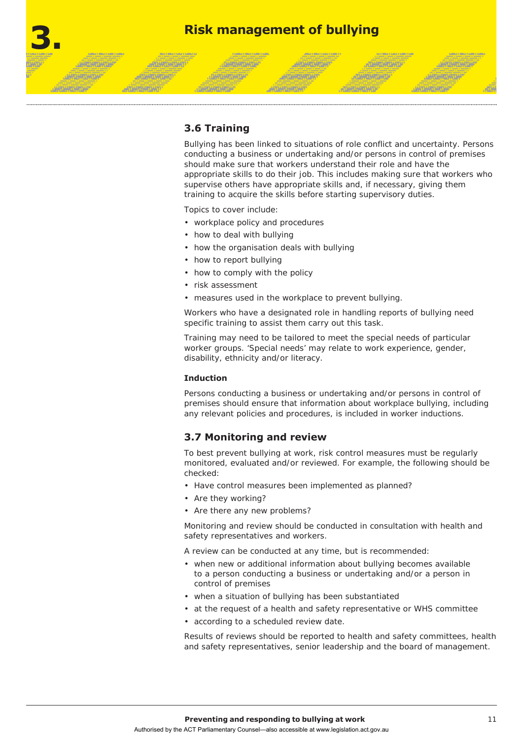

**ARTMOURTHY** 

**ANTANESATIAN** 

#### **3.6 Training**

*<u>ATMONTONY</u>* 

**ATTARTMENT** 

**JANONE AREA** 

**JAPONATOMTAP** 

Bullying has been linked to situations of role conflict and uncertainty. Persons conducting a business or undertaking and/or persons in control of premises should make sure that workers understand their role and have the appropriate skills to do their job. This includes making sure that workers who supervise others have appropriate skills and, if necessary, giving them training to acquire the skills before starting supervisory duties.

**JOHN HOME** 

**POWER STORES** 

**JARISHTONTON** 

地球站

Topics to cover include:

- workplace policy and procedures
- how to deal with bullying

**JAMERICHTER** 

**DARLANTOATUA** 

- how the organisation deals with bullying
- how to report bullying
- how to comply with the policy
- risk assessment
- measures used in the workplace to prevent bullying.

Workers who have a designated role in handling reports of bullying need specific training to assist them carry out this task.

Training may need to be tailored to meet the special needs of particular worker groups. 'Special needs' may relate to work experience, gender, disability, ethnicity and/or literacy.

#### **Induction**

Persons conducting a business or undertaking and/or persons in control of premises should ensure that information about workplace bullying, including any relevant policies and procedures, is included in worker inductions.

#### **3.7 Monitoring and review**

To best prevent bullying at work, risk control measures must be regularly monitored, evaluated and/or reviewed. For example, the following should be checked:

- Have control measures been implemented as planned?
- Are they working?
- Are there any new problems?

Monitoring and review should be conducted in consultation with health and safety representatives and workers.

A review can be conducted at any time, but is recommended:

- when new or additional information about bullying becomes available to a person conducting a business or undertaking and/or a person in control of premises
- when a situation of bullying has been substantiated
- at the request of a health and safety representative or WHS committee
- according to a scheduled review date.

Results of reviews should be reported to health and safety committees, health and safety representatives, senior leadership and the board of management.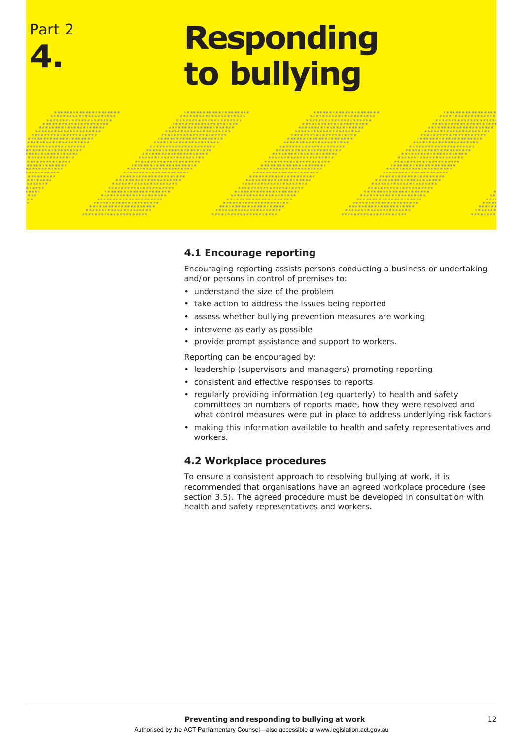# **4. Responding to bullying**

Part 2

#### **4.1 Encourage reporting**

Encouraging reporting assists persons conducting a business or undertaking and/or persons in control of premises to:

- understand the size of the problem
- take action to address the issues being reported
- assess whether bullying prevention measures are working
- intervene as early as possible
- provide prompt assistance and support to workers.

Reporting can be encouraged by:

- leadership (supervisors and managers) promoting reporting
- consistent and effective responses to reports
- regularly providing information (eg quarterly) to health and safety committees on numbers of reports made, how they were resolved and what control measures were put in place to address underlying risk factors
- making this information available to health and safety representatives and workers.

#### **4.2 Workplace procedures**

To ensure a consistent approach to resolving bullying at work, it is recommended that organisations have an agreed workplace procedure (see section 3.5). The agreed procedure must be developed in consultation with health and safety representatives and workers.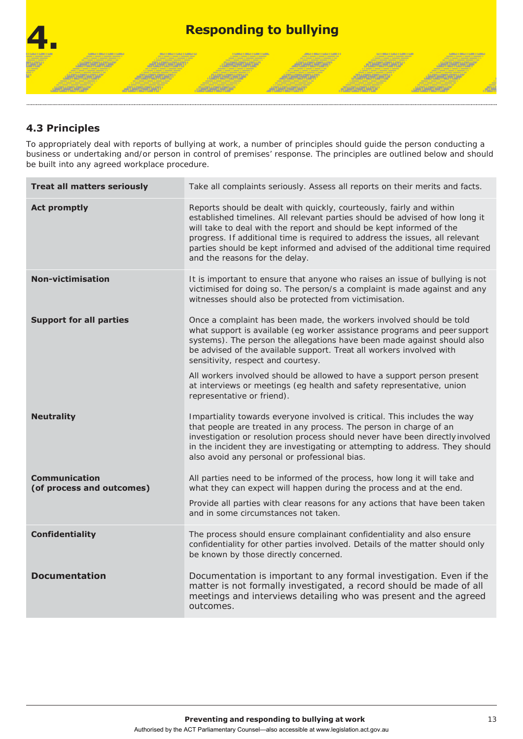

#### **4.3 Principles**

To appropriately deal with reports of bullying at work, a number of principles should guide the person conducting a business or undertaking and/or person in control of premises' response. The principles are outlined below and should be built into any agreed workplace procedure.

| <b>Treat all matters seriously</b>                | Take all complaints seriously. Assess all reports on their merits and facts.                                                                                                                                                                                                                                                                                                                                                                                                                                                |
|---------------------------------------------------|-----------------------------------------------------------------------------------------------------------------------------------------------------------------------------------------------------------------------------------------------------------------------------------------------------------------------------------------------------------------------------------------------------------------------------------------------------------------------------------------------------------------------------|
| <b>Act promptly</b>                               | Reports should be dealt with quickly, courteously, fairly and within<br>established timelines. All relevant parties should be advised of how long it<br>will take to deal with the report and should be kept informed of the<br>progress. If additional time is required to address the issues, all relevant<br>parties should be kept informed and advised of the additional time required<br>and the reasons for the delay.                                                                                               |
| <b>Non-victimisation</b>                          | It is important to ensure that anyone who raises an issue of bullying is not<br>victimised for doing so. The person/s a complaint is made against and any<br>witnesses should also be protected from victimisation.                                                                                                                                                                                                                                                                                                         |
| <b>Support for all parties</b>                    | Once a complaint has been made, the workers involved should be told<br>what support is available (eg worker assistance programs and peer support<br>systems). The person the allegations have been made against should also<br>be advised of the available support. Treat all workers involved with<br>sensitivity, respect and courtesy.<br>All workers involved should be allowed to have a support person present<br>at interviews or meetings (eg health and safety representative, union<br>representative or friend). |
| <b>Neutrality</b>                                 | Impartiality towards everyone involved is critical. This includes the way<br>that people are treated in any process. The person in charge of an<br>investigation or resolution process should never have been directly involved<br>in the incident they are investigating or attempting to address. They should<br>also avoid any personal or professional bias.                                                                                                                                                            |
| <b>Communication</b><br>(of process and outcomes) | All parties need to be informed of the process, how long it will take and<br>what they can expect will happen during the process and at the end.<br>Provide all parties with clear reasons for any actions that have been taken<br>and in some circumstances not taken.                                                                                                                                                                                                                                                     |
| <b>Confidentiality</b>                            | The process should ensure complainant confidentiality and also ensure<br>confidentiality for other parties involved. Details of the matter should only<br>be known by those directly concerned.                                                                                                                                                                                                                                                                                                                             |
| <b>Documentation</b>                              | Documentation is important to any formal investigation. Even if the<br>matter is not formally investigated, a record should be made of all<br>meetings and interviews detailing who was present and the agreed<br>outcomes.                                                                                                                                                                                                                                                                                                 |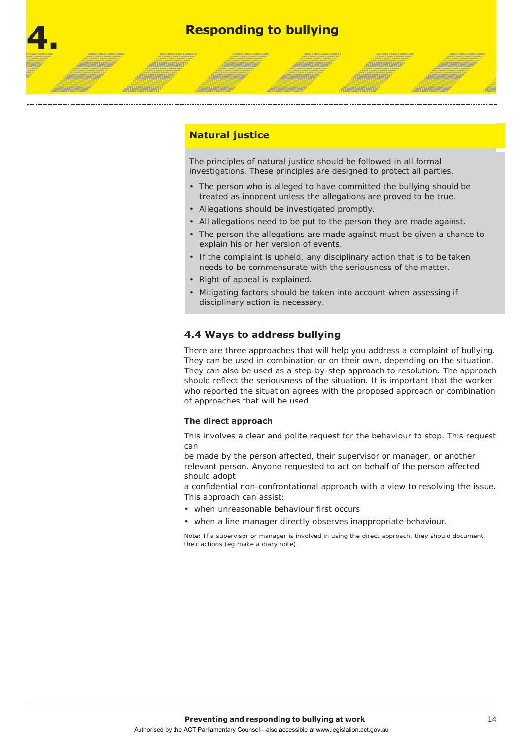## **4. Responding to bullying**

#### **Natural justice**

*<u>CHARGERSTAN</u>* 

**DHYLMATOMTOM** 

**JANOVIOVALIA** 

**JAPONATOARTAR** 

*<u>ATANTANTINT</u>* 

**ATTARTMENT** 

The principles of natural justice should be followed in all formal investigations. These principles are designed to protect all parties.

**ARTHUR THY** 

**ATTACEMENT** 

**ATHRONOMIA** 

**JARGARETARDA** 

- The person who is alleged to have committed the bullying should be treated as innocent unless the allegations are proved to be true.
- Allegations should be investigated promptly.
- All allegations need to be put to the person they are made against.
- The person the allegations are made against must be given a chance to explain his or her version of events.
- If the complaint is upheld, any disciplinary action that is to be taken needs to be commensurate with the seriousness of the matter.
- Right of appeal is explained.
- Mitigating factors should be taken into account when assessing if disciplinary action is necessary.

#### **4.4 Ways to address bullying**

There are three approaches that will help you address a complaint of bullying. They can be used in combination or on their own, depending on the situation. They can also be used as a step-by-step approach to resolution. The approach should reflect the seriousness of the situation. It is important that the worker who reported the situation agrees with the proposed approach or combination of approaches that will be used.

#### **The direct approach**

This involves a clear and polite request for the behaviour to stop. This request can

be made by the person affected, their supervisor or manager, or another relevant person. Anyone requested to act on behalf of the person affected should adopt

a confidential non-confrontational approach with a view to resolving the issue. This approach can assist:

- when unreasonable behaviour first occurs
- when a line manager directly observes inappropriate behaviour.

Note: If a supervisor or manager is involved in using the direct approach, they should document their actions (eg make a diary note).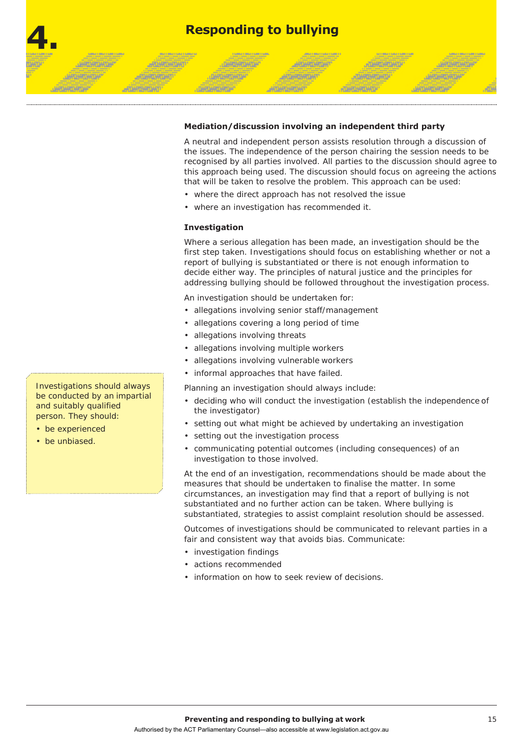

**. DATES AT DATES** 

**DARLANTOATUA** 

#### **Mediation/discussion involving an independent third party**

**ARTMEDIATION** 

**MOANTEANTOART** 

A neutral and independent person assists resolution through a discussion of the issues. The independence of the person chairing the session needs to be recognised by all parties involved. All parties to the discussion should agree to this approach being used. The discussion should focus on agreeing the actions that will be taken to resolve the problem. This approach can be used:

**ATHRONOMIA** 

**JARGARETARDA** 

- where the direct approach has not resolved the issue
- where an investigation has recommended it.

#### **Investigation**

Where a serious allegation has been made, an investigation should be the first step taken. Investigations should focus on establishing whether or not a report of bullying is substantiated or there is not enough information to decide either way. The principles of natural justice and the principles for addressing bullying should be followed throughout the investigation process.

An investigation should be undertaken for:

- allegations involving senior staff/management
- allegations covering a long period of time
- allegations involving threats
- allegations involving multiple workers
- allegations involving vulnerable workers
- informal approaches that have failed.

Planning an investigation should always include:

- deciding who will conduct the investigation (establish the independence of the investigator)
- setting out what might be achieved by undertaking an investigation
- setting out the investigation process
- communicating potential outcomes (including consequences) of an investigation to those involved.

At the end of an investigation, recommendations should be made about the measures that should be undertaken to finalise the matter. In some circumstances, an investigation may find that a report of bullying is not substantiated and no further action can be taken. Where bullying is substantiated, strategies to assist complaint resolution should be assessed.

Outcomes of investigations should be communicated to relevant parties in a fair and consistent way that avoids bias. Communicate:

- investigation findings
- actions recommended
- information on how to seek review of decisions.

Investigations should always be conducted by an impartial and suitably qualified person. They should:

**JANOVIOVALIA** 

**JAPONATOARTAR** 

**ATLANTANT** 

**ATTARTMENT** 

- be experienced
- be unbiased.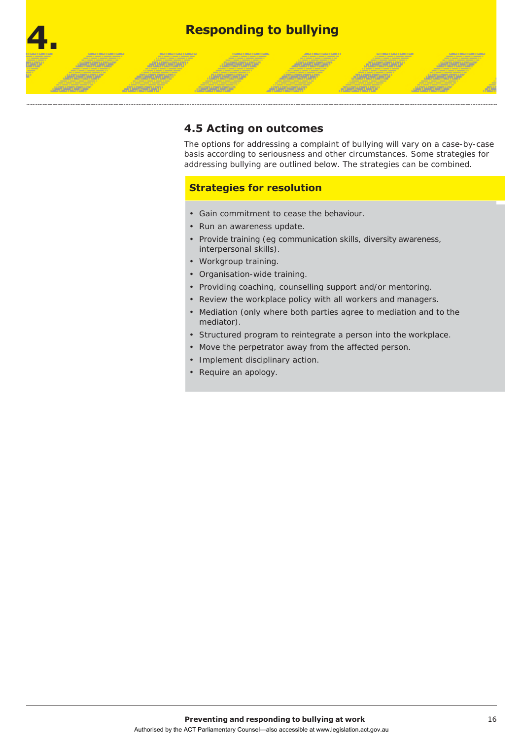## **4. Responding to bullying**

**JAROKOWAN** 

*<b>GARCHARDARDA* 

**JANONE AREA** 

**ARTISTORY** 

**LIST MATERIALS** 

*<u>ATTANTANTI </u>* 

**ATHRONOMY** 

#### **4.5 Acting on outcomes**

The options for addressing a complaint of bullying will vary on a case-by-case basis according to seriousness and other circumstances. Some strategies for addressing bullying are outlined below. The strategies can be combined.

**JOHNSHOWS** 

**ATHRONOMIA** 

**JATERTURDAT** 

**JARTAGETARTAS** 

#### **Strategies for resolution**

- Gain commitment to cease the behaviour.
- Run an awareness update.
- Provide training (eg communication skills, diversity awareness, interpersonal skills).

**ARTAMORTAN** 

**ARTAMENTOART** 

- Workgroup training.
- Organisation-wide training.
- Providing coaching, counselling support and/or mentoring.
- Review the workplace policy with all workers and managers.
- Mediation (only where both parties agree to mediation and to the mediator).
- Structured program to reintegrate a person into the workplace.
- Move the perpetrator away from the affected person.
- Implement disciplinary action.
- Require an apology.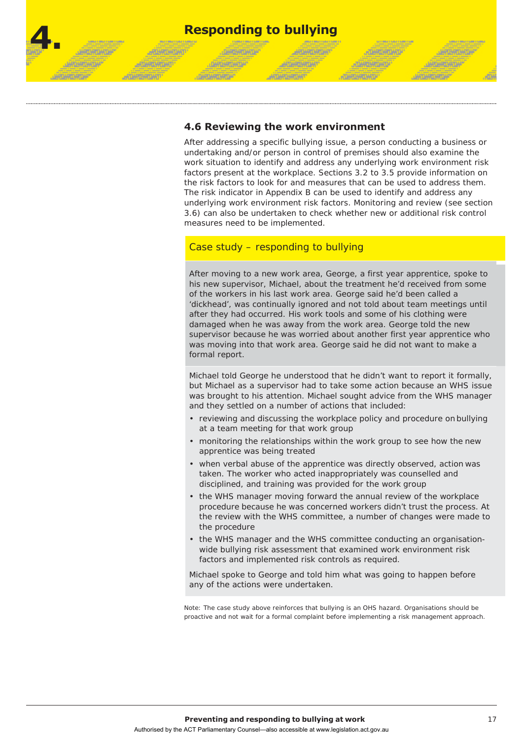

#### **4.6 Reviewing the work environment**

After addressing a specific bullying issue, a person conducting a business or undertaking and/or person in control of premises should also examine the work situation to identify and address any underlying work environment risk factors present at the workplace. Sections 3.2 to 3.5 provide information on the risk factors to look for and measures that can be used to address them. The risk indicator in Appendix B can be used to identify and address any underlying work environment risk factors. Monitoring and review (see section 3.6) can also be undertaken to check whether new or additional risk control measures need to be implemented.

#### Case study – responding to bullying

After moving to a new work area, George, a first year apprentice, spoke to his new supervisor, Michael, about the treatment he'd received from some of the workers in his last work area. George said he'd been called a 'dickhead', was continually ignored and not told about team meetings until after they had occurred. His work tools and some of his clothing were damaged when he was away from the work area. George told the new supervisor because he was worried about another first year apprentice who was moving into that work area. George said he did not want to make a formal report.

Michael told George he understood that he didn't want to report it formally, but Michael as a supervisor had to take some action because an WHS issue was brought to his attention. Michael sought advice from the WHS manager and they settled on a number of actions that included:

- reviewing and discussing the workplace policy and procedure on bullying at a team meeting for that work group
- monitoring the relationships within the work group to see how the new apprentice was being treated
- when verbal abuse of the apprentice was directly observed, action was taken. The worker who acted inappropriately was counselled and disciplined, and training was provided for the work group
- the WHS manager moving forward the annual review of the workplace procedure because he was concerned workers didn't trust the process. At the review with the WHS committee, a number of changes were made to the procedure
- the WHS manager and the WHS committee conducting an organisationwide bullying risk assessment that examined work environment risk factors and implemented risk controls as required.

Michael spoke to George and told him what was going to happen before any of the actions were undertaken.

Note: The case study above reinforces that bullying is an OHS hazard. Organisations should be proactive and not wait for a formal complaint before implementing a risk management approach.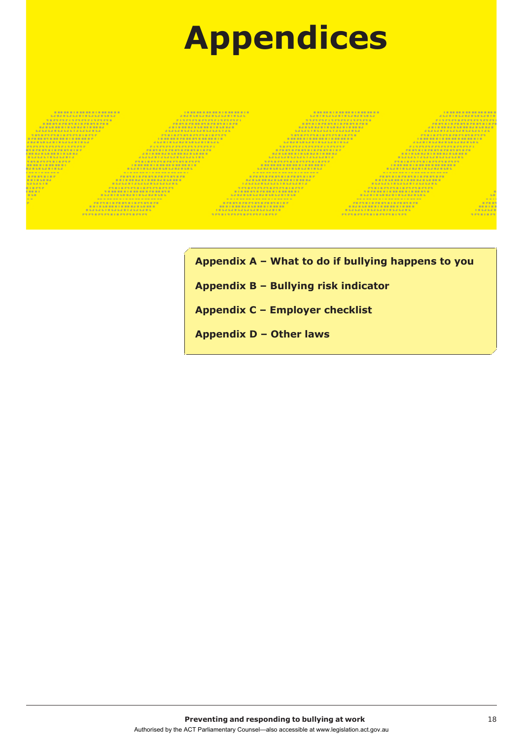

**Appendix A – What to do if bullying happens to you** 

**Appendix B – Bullying risk indicator**

**Appendix C – Employer checklist** 

**Appendix D – Other laws**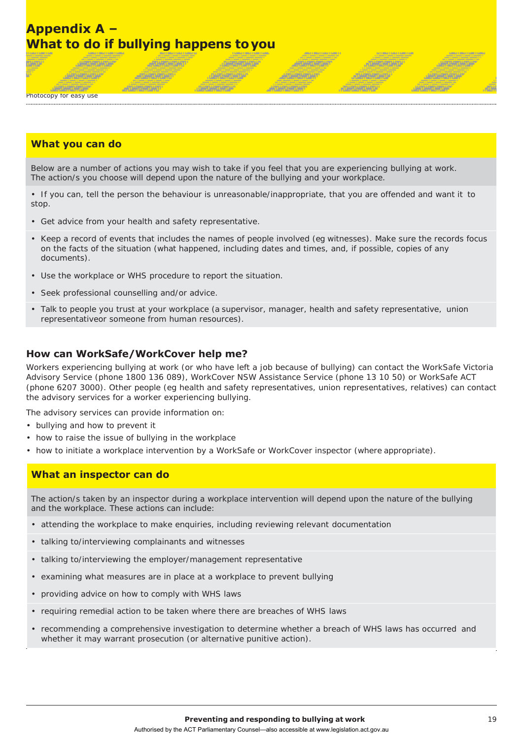## **Appendix A – What to do if bullying happens toyou**

*<u>ATHRONOMIA</u>* 

*<u>ATUASADAD</u>* 

*<b>ARTHONOMY* 

#### Photocopy for easy use

**ARTISTER TAP** 

#### **What you can do**

**JAROMONIA** 

**JARAHTARTAR** 

Below are a number of actions you may wish to take if you feel that you are experiencing bullying at work. The action/s you choose will depend upon the nature of the bullying and your workplace.

**JANSHONDA** 

**JURISHINGH** 

**CARLASTATUM** 

人物的复数形式

**ANGERONY** 

**ARTAMENTARY** 

**JOHNSHOW** 

**ATHERWORK** 

*<b>PERMITANTIA* 

**JAKENTUKTUR** 

**Alian Alama** 

**ALTERNATIVE** 

• If you can, tell the person the behaviour is unreasonable/inappropriate, that you are offended and want it to stop.

- Get advice from your health and safety representative.
- Keep a record of events that includes the names of people involved (eg witnesses). Make sure the records focus on the facts of the situation (what happened, including dates and times, and, if possible, copies of any documents).
- Use the workplace or WHS procedure to report the situation.
- Seek professional counselling and/or advice.
- Talk to people you trust at your workplace (a supervisor, manager, health and safety representative, union representativeor someone from human resources).

#### **How can WorkSafe/WorkCover help me?**

Workers experiencing bullying at work (or who have left a job because of bullying) can contact the WorkSafe Victoria Advisory Service (phone 1800 136 089), WorkCover NSW Assistance Service (phone 13 10 50) or WorkSafe ACT (phone 6207 3000). Other people (eg health and safety representatives, union representatives, relatives) can contact the advisory services for a worker experiencing bullying.

The advisory services can provide information on:

- bullying and how to prevent it
- how to raise the issue of bullying in the workplace
- how to initiate a workplace intervention by a WorkSafe or WorkCover inspector (where appropriate).

#### **What an inspector can do**

The action/s taken by an inspector during a workplace intervention will depend upon the nature of the bullying and the workplace. These actions can include:

- attending the workplace to make enquiries, including reviewing relevant documentation
- talking to/interviewing complainants and witnesses
- talking to/interviewing the employer/management representative
- examining what measures are in place at a workplace to prevent bullying
- providing advice on how to comply with WHS laws
- requiring remedial action to be taken where there are breaches of WHS laws
- recommending a comprehensive investigation to determine whether a breach of WHS laws has occurred and whether it may warrant prosecution (or alternative punitive action).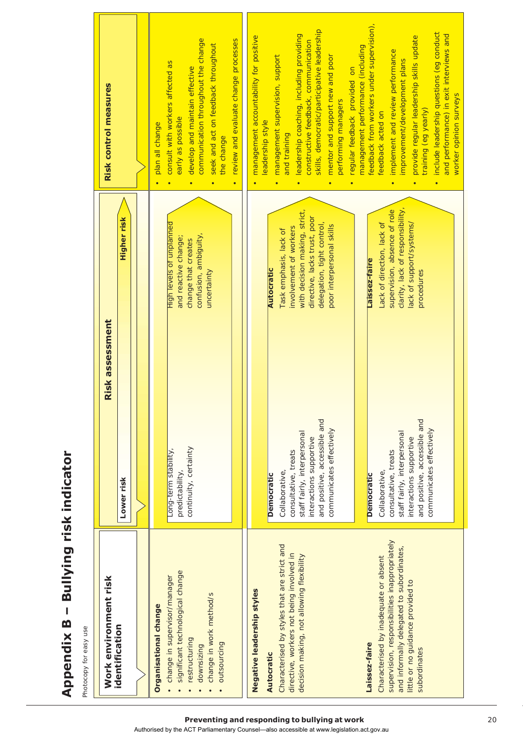| j                             |
|-------------------------------|
|                               |
|                               |
|                               |
|                               |
| ٠<br>Ï                        |
|                               |
|                               |
| п                             |
| ׇ֚֘֡                          |
|                               |
| Ï<br>l                        |
| ׇ֚֓֡                          |
| ۱                             |
|                               |
| I<br>п                        |
| ù<br>ļ                        |
| Ì                             |
| I<br>I                        |
| l                             |
|                               |
| I                             |
| נ<br>О                        |
|                               |
| n<br>Ì                        |
| r<br>ļ                        |
|                               |
|                               |
|                               |
|                               |
| $\overline{\phantom{a}}$      |
| $\overline{a}$<br>֠<br>ı<br>I |

Photocopy for easy use Photocopy for easy use

| Risk control measures<br><b>Higher risk</b><br>Risk assessment | communication throughout the change<br>review and evaluate change processes<br>seek and act on feedback throughout<br>consult with workers affected as<br>develop and maintain effective<br>early as possible<br>plan all change<br>the change<br>$\bullet$<br>$\bullet$<br>$\bullet$<br>High levels of unplanned<br>confusion, ambiguity,<br>and reactive change;<br>change that creates<br>uncertainty | skills, democratic/participative leadership<br>leadership coaching, including providing<br>management accountability for positive<br>constructive feedback, communication<br>mentor and support new and poor<br>management supervision, support<br>regular feedback provided on<br>performing managers<br>leadership style<br>and training<br>$\bullet$<br>$\bullet$<br>$\bullet$<br>with decision making, strict,<br>directive, lacks trust, poor<br>delegation, tight control,<br>poor interpersonal skills<br>involvement of workers<br>Task emphasis, lack of<br><b>Autocratic</b> | feedback from workers under supervision),<br>management performance (including<br>implement and review performance<br>feedback acted on<br>$\bullet$<br>supervision, absence of role<br>Lack of direction, lack of<br>Laissez-faire |
|----------------------------------------------------------------|----------------------------------------------------------------------------------------------------------------------------------------------------------------------------------------------------------------------------------------------------------------------------------------------------------------------------------------------------------------------------------------------------------|----------------------------------------------------------------------------------------------------------------------------------------------------------------------------------------------------------------------------------------------------------------------------------------------------------------------------------------------------------------------------------------------------------------------------------------------------------------------------------------------------------------------------------------------------------------------------------------|-------------------------------------------------------------------------------------------------------------------------------------------------------------------------------------------------------------------------------------|
| Lower risk                                                     | continuity, certainty<br>Long-term stability,<br>predictability,                                                                                                                                                                                                                                                                                                                                         | and positive, accessible and<br>communicates effectively<br>staff fairly, interpersonal<br>interactions supportive<br>consultative, treats<br>Collaborative,<br><b>Democratic</b>                                                                                                                                                                                                                                                                                                                                                                                                      | and positive, accessible and<br>communicates effectively<br>staff fairly, interpersonal<br>interactions supportive<br>consultative, treats<br>Collaborative,<br><b>Democratic</b>                                                   |
| Work environment risk<br>identification                        | significant technological change<br>change in supervisor/manager<br>change in work method/s<br><b>Organisational change</b><br>restructuring<br>outsourcing<br>downsizing                                                                                                                                                                                                                                | Characterised by styles that are strict and<br>directive, workers not being involved in<br>decision making, not allowing flexibility<br>Negative leadership styles<br>Autocratic                                                                                                                                                                                                                                                                                                                                                                                                       | supervision, responsibilities inappropriately<br>and informally delegated to subordinates,<br>Characterised by inadequate or absent<br>little or no guidance provided to<br>Laissez-faire<br>subordinates                           |

Authorised by the ACT Parliamentary Counsel—also accessible at www.legislation.act.gov.au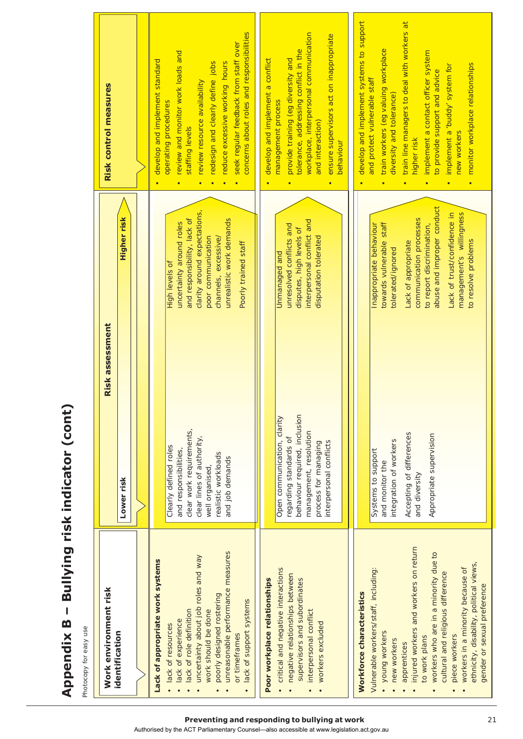| ı<br>$\frac{1}{3}$<br>Ń<br>đ                                               |
|----------------------------------------------------------------------------|
| <br> <br> <br>J<br>I<br>ī<br>ı                                             |
| ا<br>ا<br>l                                                                |
| n<br>֪֪֪֚֓֟֟֟֟֟֟֟֟֟֟֟֟֟֟֟֟֟֟֟֟֟֟֟֟֟֟֟֟֟֟֟֟֟֟֟֟<br>ï<br>$\overline{1}$<br>ſ |
| I<br>≃                                                                     |
| J<br>U<br>ï<br>ていいいく<br>į                                                  |

Photocopy for easy use Photocopy for easy use

| Work environment risk                                          | Risk assessment                                         |                                                             | Risk control measures                                                              |
|----------------------------------------------------------------|---------------------------------------------------------|-------------------------------------------------------------|------------------------------------------------------------------------------------|
| identification                                                 | Lower risk                                              | <b>Higher risk</b>                                          |                                                                                    |
|                                                                |                                                         |                                                             |                                                                                    |
| Lack of appropriate work systems                               |                                                         |                                                             | develop and implement standard                                                     |
| lack of experience<br>lack of resources                        | Clearly defined roles<br>and responsibilities,          | uncertainty around roles<br>High levels of                  | review and monitor work loads and<br>operating procedures                          |
| uncertainty about job roles and way<br>lack of role definition | clear work requirements,<br>clear lines of authority,   | clarity around expectations,<br>and responsibility, lack of | staffing levels                                                                    |
| work should be done                                            | well organised,                                         | poor communication                                          | redesign and clearly define jobs<br>review resource availability                   |
| unreasonable performance measures<br>poorly designed rostering | realistic workloads<br>and job demands                  | unrealistic work demands<br>channels, excessive/            | reduce excessive working hours                                                     |
| lack of support systems<br>or timeframes                       |                                                         | Poorly trained staff                                        | concerns about roles and responsibilities<br>seek regular feedback from staff over |
| Poor workplace relationships                                   |                                                         |                                                             | develop and implement a conflict                                                   |
| critical and negative interactions                             | Open communication, clarity                             | Unmanaged and                                               | management process                                                                 |
| negative relationships between                                 | regarding standards of                                  | unresolved conflicts and                                    | provide training (eg diversity and                                                 |
| supervisors and subordinates                                   | behaviour required, inclusion<br>management, resolution | interpersonal conflict and<br>disputes, high levels of      | workplace, interpersonal communication<br>tolerance, addressing conflict in the    |
| interpersonal conflict<br>workers excluded                     | process for managing                                    | disputation tolerated                                       | and interaction)                                                                   |
|                                                                | interpersonal conflicts                                 |                                                             | ensure supervisors act on inappropriate<br>behaviour                               |
|                                                                |                                                         |                                                             |                                                                                    |
| Workforce characteristics                                      |                                                         |                                                             | develop and implement systems to support                                           |
| Vulnerable workers/staff, including:                           | Systems to support                                      | Inappropriate behaviour                                     | and protect vulnerable staff                                                       |
| • young workers                                                | and monitor the                                         | towards vulnerable staff                                    | train workers (eg valuing workplace<br>diversity and tolerance)                    |
| new workers<br>apprentices                                     | integration of workers                                  | tolerated/ignored                                           |                                                                                    |
| injured workers and workers on return                          | Accepting of differences<br>and diversity               | communication processes<br>Lack of appropriate              | train line managers to deal with workers at<br>higher risk                         |
| workers who are in a minority due to<br>to work plans          | Appropriate supervision                                 | abuse and improper conduct<br>to report discrimination,     | implement a contact officer system<br>to provide support and advice                |
| cultural and religious difference                              |                                                         | Lack of trust/confidence in                                 | implement a 'buddy' system for<br>$\bullet$                                        |
| workers in a minority because of<br>piece workers              |                                                         | management's willingness                                    | new workers                                                                        |
| ethnicity, disability, political views,                        |                                                         | to resolve problems                                         | monitor workplace relationships                                                    |
| gender or sexual preference                                    |                                                         |                                                             |                                                                                    |

**Preventing and responding to bullying at work** 21

Authorised by the ACT Parliamentary Counsel—also accessible at www.legislation.act.gov.au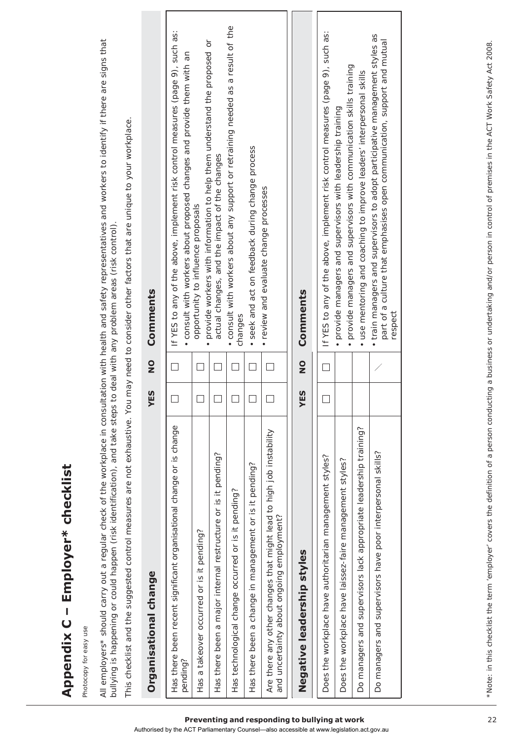| ٠<br>ī<br>I                |
|----------------------------|
| i<br>i<br>Ī<br>q<br>Ľ<br>I |
| I<br>C                     |
| ш<br>í<br>S<br>ı<br>é<br>ï |

Photocopy for easy use Photocopy for easy use All employers\* should carry out a regular check of the workplace in consultation with health and safety representatives and workers to identify if there are signs that All employers\* should carry out a regular check of the workplace in consultation with health and safety representatives and workers to identify if there are signs that bullying is happening or could happen (risk identification), and take steps to deal with any problem areas (risk control). bullying is happening or could happen (risk identification), and take steps to deal with any problem areas (risk control)

This checklist and the suggested control measures are not exhaustive. You may need to consider other factors that are unique to your workplace. This checklist and the suggested control measures are not exhaustive. You may need to consider other factors that are unique to your workplace.

| Organisational change                                                                                            | ES<br>≻              | $\frac{1}{2}$ | Comments                                                                                                                                                            |
|------------------------------------------------------------------------------------------------------------------|----------------------|---------------|---------------------------------------------------------------------------------------------------------------------------------------------------------------------|
| Has there been recent significant organisational change or is change<br>pending?                                 |                      |               | If YES to any of the above, implement risk control measures (page 9), such as:<br>consult with workers about proposed changes and provide them with an              |
| Has a takeover occurred or is it pending?                                                                        |                      |               | opportunity to influence proposals                                                                                                                                  |
| Has there been a major internal restructure or is it pending?                                                    |                      |               | provide workers with information to help them understand the proposed or<br>actual changes, and the impact of the changes                                           |
| Has technological change occurred or is it pending?                                                              |                      |               | . consult with workers about any support or retraining needed as a result of the<br>changes                                                                         |
| Has there been a change in management or is it pending?                                                          |                      |               | • seek and act on feedback during change process                                                                                                                    |
| Are there any other changes that might lead to high job instability<br>and uncertainty about ongoing employment? |                      |               | · review and evaluate change processes                                                                                                                              |
| Negative leadership styles                                                                                       | $\overline{E}S$<br>≻ | $\frac{1}{2}$ | Comments                                                                                                                                                            |
| Does the workplace have authoritarian management styles?                                                         |                      |               | If YES to any of the above, implement risk control measures (page 9), such as:                                                                                      |
| Does the workplace have laissez-faire management styles?                                                         |                      |               | · provide managers and supervisors with communication skills training<br>· provide managers and supervisors with leadership training                                |
| Do managers and supervisors lack appropriate leadership training?                                                |                      |               | · use mentoring and coaching to improve leaders' interpersonal skills                                                                                               |
| Do managers and supervisors have poor interpersonal skills?                                                      |                      |               | • train managers and supervisors to adopt participative management styles as<br>part of a culture that emphasises open communication, support and mutual<br>respect |
|                                                                                                                  |                      |               |                                                                                                                                                                     |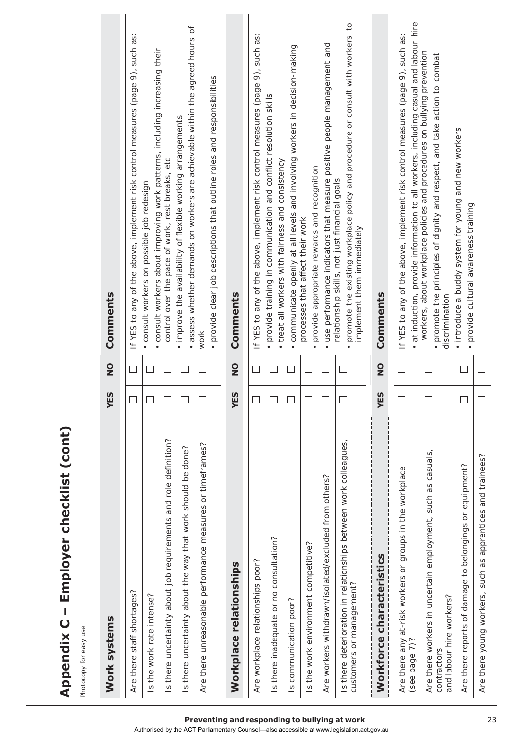| Work systems                                                                                           | YES    | $\frac{1}{2}$ | Comments                                                                                                                                                                |
|--------------------------------------------------------------------------------------------------------|--------|---------------|-------------------------------------------------------------------------------------------------------------------------------------------------------------------------|
| Are there staff shortages?                                                                             | $\Box$ | ٦             | If YES to any of the above, implement risk control measures (page 9), such as:                                                                                          |
| Is the work rate intense?                                                                              |        |               | consult workers about improving work patterns, including increasing their<br>consult workers on possible job redesign                                                   |
| Is there uncertainty about job requirements and role definition?                                       |        |               | control over the pace of work, rest breaks, etc                                                                                                                         |
| Is there uncertainty about the way that work should be done?                                           |        |               | • assess whether demands on workers are achievable within the agreed hours of<br>. improve the availability of flexible working arrangements                            |
| Are there unreasonable performance measures or timeframes?                                             |        | $\Box$        | · provide clear job descriptions that outline roles and responsibilities<br>work                                                                                        |
| Workplace relationships                                                                                | YES    | $\frac{0}{z}$ | Comments                                                                                                                                                                |
| Are workplace relationships poor?                                                                      | $\Box$ | $\Box$        | If YES to any of the above, implement risk control measures (page 9), such as:                                                                                          |
| Is there inadequate or no consultation?                                                                |        |               | · provide training in communication and conflict resolution skills<br>treat all workers with fairness and consistency                                                   |
| Is communication poor?                                                                                 | ⊔      |               | communicate openly at all levels and involving workers in decision-making                                                                                               |
| Is the work environment competitive?                                                                   |        |               | provide appropriate rewards and recognition<br>processes that affect their work                                                                                         |
| Are workers withdrawn/isolated/excluded from others?                                                   | ப      |               | use performance indicators that measure positive people management and<br>$\bullet$                                                                                     |
| Is there deterioration in relationships between work colleagues,<br>customers or management?           | $\Box$ | $\Box$        | promote the existing workplace policy and procedure or consult with workers to<br>relationship skills, not just financial goals<br>implement them immediately           |
| Workforce characteristics                                                                              | YES    | $\frac{1}{2}$ | Comments                                                                                                                                                                |
| Are there any at-risk workers or groups in the workplace<br>(see page 7)?                              |        |               | at induction, provide information to all workers, including casual and labour hire<br>If YES to any of the above, implement risk control measures (page 9), such as:    |
| Are there workers in uncertain employment, such as casuals,<br>and labour hire workers?<br>contractors |        |               | workers, about workplace policies and procedures on bullying prevention<br>• promote the principles of dignity and respect, and take action to combat<br>discrimination |
| Are there reports of damage to belongings or equipment?                                                | $\Box$ |               | . introduce a buddy system for young and new workers<br>· provide cultural awareness training                                                                           |
| Are there young workers, such as apprentices and trainees?                                             |        | Ш             |                                                                                                                                                                         |

#### **Preventing and responding to bullying at work** 23

Authorised by the ACT Parliamentary Counsel—also accessible at www.legislation.act.gov.au

**Appendix C – Employer checklist (cont)**

Appendix C - Employer checklist (cont)

Photocopy for easy use

Photocopy for easy use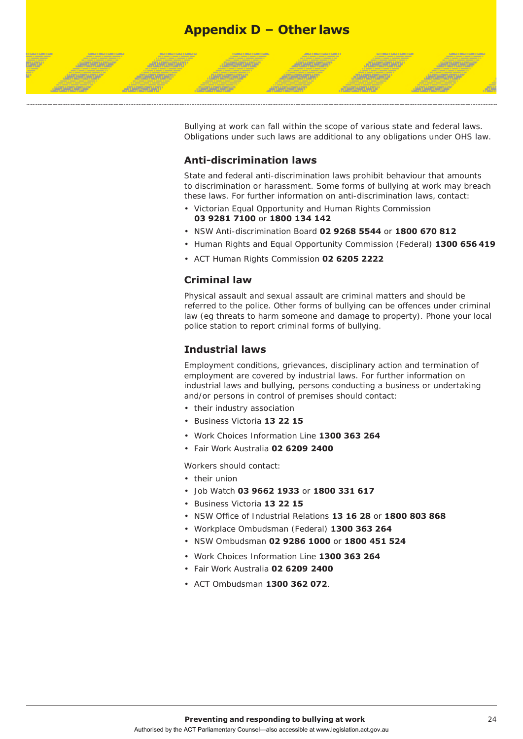

Bullying at work can fall within the scope of various state and federal laws. Obligations under such laws are additional to any obligations under OHS law.

#### **Anti-discrimination laws**

State and federal anti-discrimination laws prohibit behaviour that amounts to discrimination or harassment. Some forms of bullying at work may breach these laws. For further information on anti-discrimination laws, contact:

- Victorian Equal Opportunity and Human Rights Commission **03 9281 7100** or **1800 134 142**
- NSW Anti-discrimination Board **02 9268 5544** or **1800 670 812**
- Human Rights and Equal Opportunity Commission (Federal) **1300 656 419**
- ACT Human Rights Commission **02 6205 2222**

#### **Criminal law**

Physical assault and sexual assault are criminal matters and should be referred to the police. Other forms of bullying can be offences under criminal law (eg threats to harm someone and damage to property). Phone your local police station to report criminal forms of bullying.

#### **Industrial laws**

Employment conditions, grievances, disciplinary action and termination of employment are covered by industrial laws. For further information on industrial laws and bullying, persons conducting a business or undertaking and/or persons in control of premises should contact:

- their industry association
- Business Victoria **13 22 15**
- Work Choices Information Line **1300 363 264**
- Fair Work Australia **02 6209 2400**

Workers should contact:

- their union
- Job Watch **03 9662 1933** or **1800 331 617**
- Business Victoria **13 22 15**
- NSW Office of Industrial Relations **13 16 28** or **1800 803 868**
- Workplace Ombudsman (Federal) **1300 363 264**
- NSW Ombudsman **02 9286 1000** or **1800 451 524**
- Work Choices Information Line **1300 363 264**
- Fair Work Australia **02 6209 2400**
- ACT Ombudsman **1300 362 072**.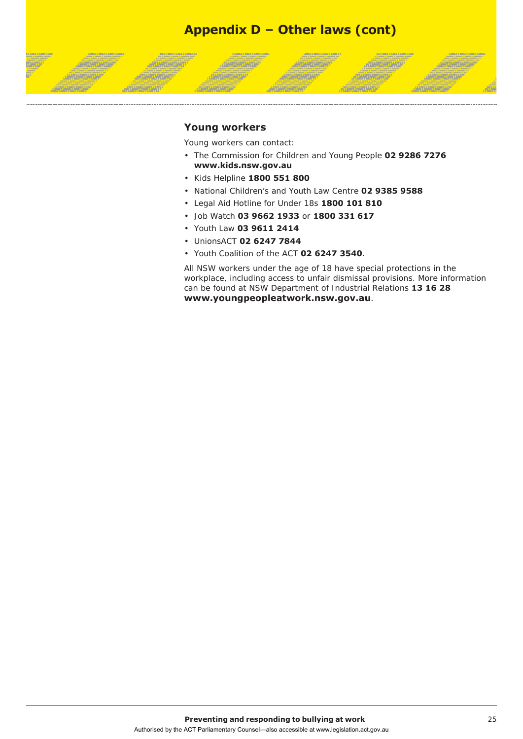## **Appendix D – Other laws (cont)**

#### **Young workers**

*<b>ARTAMENTO* 

**ATHERWAY** 

**JAROMONOM** 

**JAPONET CANTAR** 

Young workers can contact:

**JAROKOWAN** 

**DARLANTOATUA** 

• The Commission for Children and Young People **02 9286 7276 [www.kids.nsw.gov.au](http://www.kids.nsw.gov.au/)**

**ARTAMORTAN** 

ANTARANTA

**JOHNSHOWS** 

**ATHRADHIP** 

**JANEAR MOTH** 

**ARTHRONOM** 

- Kids Helpline **1800 551 800**
- National Children's and Youth Law Centre **02 9385 9588**
- Legal Aid Hotline for Under 18s **1800 101 810**
- Job Watch **03 9662 1933** or **1800 331 617**
- Youth Law **03 9611 2414**
- UnionsACT **02 6247 7844**
- Youth Coalition of the ACT **02 6247 3540**.

All NSW workers under the age of 18 have special protections in the workplace, including access to unfair dismissal provisions. More information can be found at NSW Department of Industrial Relations **13 16 28 [www.youngpeopleatwork.nsw.gov.au](http://www.youngpeopleatwork.nsw.gov.au/)**.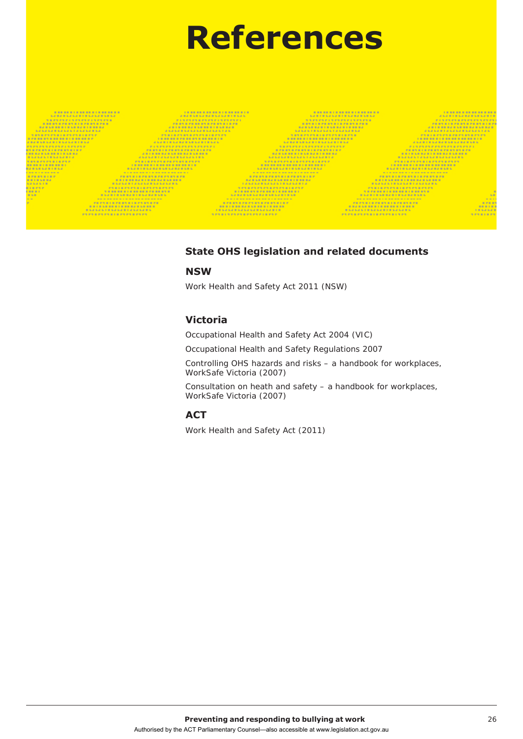# **References**

#### **State OHS legislation and related documents**

#### **NSW**

Work Health and Safety Act 2011 (NSW)

#### **Victoria**

Occupational Health and Safety Act 2004 (VIC)

Occupational Health and Safety Regulations 2007

Controlling OHS hazards and risks – a handbook for workplaces, WorkSafe Victoria (2007)

Consultation on heath and safety – a handbook for workplaces, WorkSafe Victoria (2007)

#### **ACT**

Work Health and Safety Act (2011)